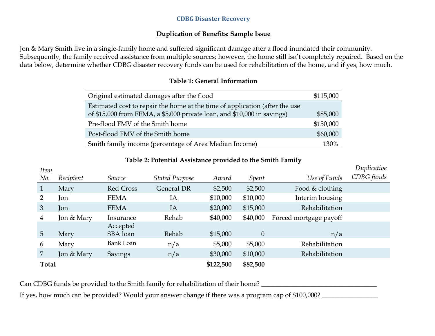#### **CDBG Disaster Recovery**

### **Duplication of Benefits: Sample Issue**

Jon & Mary Smith live in a single-family home and suffered significant damage after a flood inundated their community. Subsequently, the family received assistance from multiple sources; however, the home still isn't completely repaired. Based on the data below, determine whether CDBG disaster recovery funds can be used for rehabilitation of the home, and if yes, how much.

| Original estimated damages after the flood                                  | \$115,000 |
|-----------------------------------------------------------------------------|-----------|
| Estimated cost to repair the home at the time of application (after the use |           |
| of \$15,000 from FEMA, a \$5,000 private loan, and \$10,000 in savings)     | \$85,000  |
| Pre-flood FMV of the Smith home                                             | \$150,000 |
| Post-flood FMV of the Smith home                                            | \$60,000  |
| Smith family income (percentage of Area Median Income)                      | 130%      |

### **Table 1: General Information**

# **Table 2: Potential Assistance provided to the Smith Family**

*Duplicative* 

| нет          |            |                  |                       |           |          |                        | _          |
|--------------|------------|------------------|-----------------------|-----------|----------|------------------------|------------|
| No.          | Recipient  | Source           | <b>Stated Purpose</b> | Award     | Spent    | Use of Funds           | CDBG funds |
| $\mathbf{1}$ | Mary       | <b>Red Cross</b> | General DR            | \$2,500   | \$2,500  | Food & clothing        |            |
| 2            | Jon        | <b>FEMA</b>      | IA                    | \$10,000  | \$10,000 | Interim housing        |            |
| 3            | Jon        | <b>FEMA</b>      | IA                    | \$20,000  | \$15,000 | Rehabilitation         |            |
| 4            | Jon & Mary | Insurance        | Rehab                 | \$40,000  | \$40,000 | Forced mortgage payoff |            |
|              |            | Accepted         |                       |           |          |                        |            |
| 5            | Mary       | SBA loan         | Rehab                 | \$15,000  | $\theta$ | n/a                    |            |
| 6            | Mary       | <b>Bank Loan</b> | n/a                   | \$5,000   | \$5,000  | Rehabilitation         |            |
|              | Jon & Mary | <b>Savings</b>   | n/a                   | \$30,000  | \$10,000 | Rehabilitation         |            |
| <b>Total</b> |            |                  |                       | \$122,500 | \$82,500 |                        |            |

Can CDBG funds be provided to the Smith family for rehabilitation of their home? \_\_\_\_\_\_\_\_\_\_\_\_\_\_\_\_\_\_\_\_\_\_\_\_\_\_\_\_\_\_\_\_\_\_\_

*Item* 

If yes, how much can be provided? Would your answer change if there was a program cap of \$100,000? \_\_\_\_\_\_\_\_\_\_\_